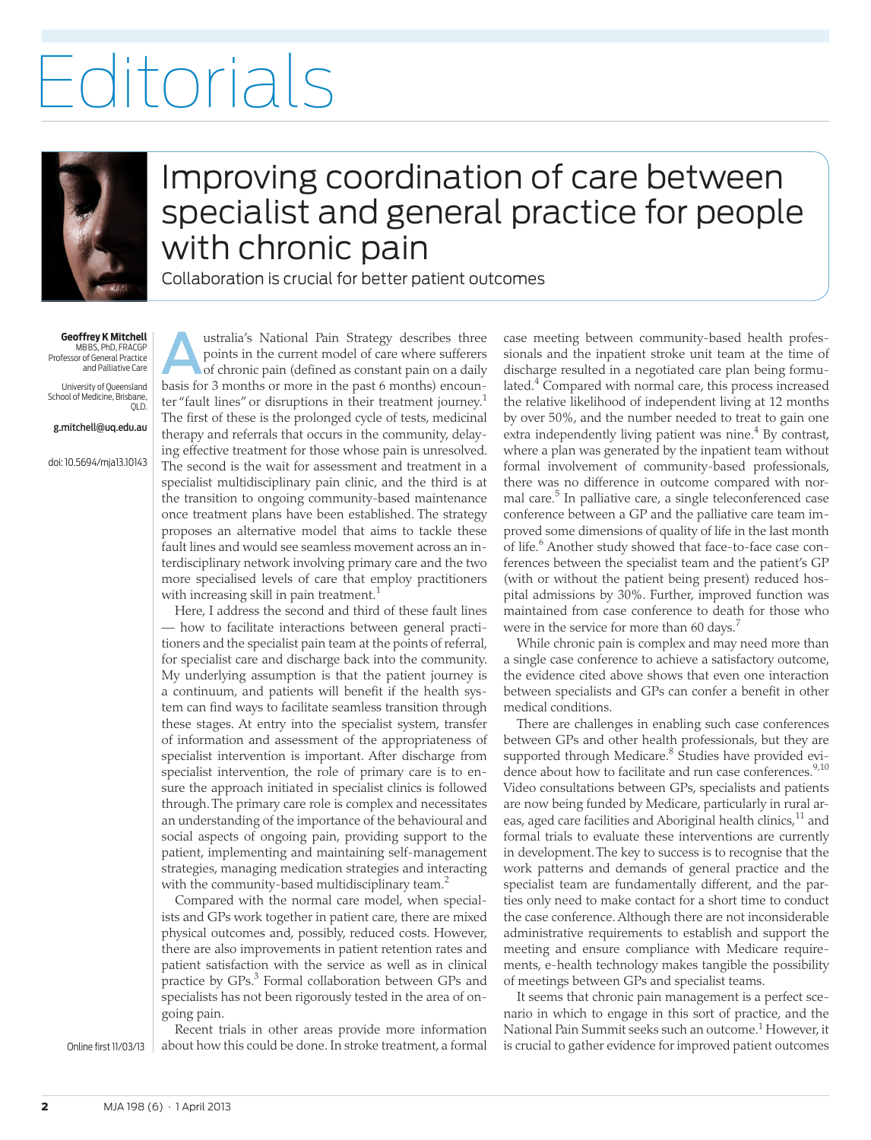## Editorials



## Improving coordination of care between specialist and general practice for people with chronic pain

Collaboration is crucial for better patient outcomes

**Geoffrey K Mitchell** MBBS, PhD, FRACGP Professor of General Practice and Palliative Care University of Queensland School of Medicine, Brisbane, QLD.

g.mitchell@uq.edu.au

doi: 10.5694/mja13.10143

**Australia's National Pain Strategy describes three** points in the current model of care where sufferers of chronic pain (defined as constant pain on a daily bosis for 2 months are more in the next 6 months) and ally points in the current model of care where sufferers basis for 3 months or more in the past 6 months) encounter "fault lines" or disruptions in their treatment journey.<sup>1</sup> The first of these is the prolonged cycle of tests, medicinal therapy and referrals that occurs in the community, delaying effective treatment for those whose pain is unresolved. The second is the wait for assessment and treatment in a specialist multidisciplinary pain clinic, and the third is at the transition to ongoing community-based maintenance once treatment plans have been established. The strategy proposes an alternative model that aims to tackle these fault lines and would see seamless movement across an interdisciplinary network involving primary care and the two more specialised levels of care that employ practitioners with increasing skill in pain treatment.<sup>1</sup>

Here, I address the second and third of these fault lines — how to facilitate interactions between general practitioners and the specialist pain team at the points of referral, for specialist care and discharge back into the community. My underlying assumption is that the patient journey is a continuum, and patients will benefit if the health system can find ways to facilitate seamless transition through these stages. At entry into the specialist system, transfer of information and assessment of the appropriateness of specialist intervention is important. After discharge from specialist intervention, the role of primary care is to ensure the approach initiated in specialist clinics is followed through. The primary care role is complex and necessitates an understanding of the importance of the behavioural and social aspects of ongoing pain, providing support to the patient, implementing and maintaining self-management strategies, managing medication strategies and interacting with the community-based multidisciplinary team.<sup>2</sup>

Compared with the normal care model, when specialists and GPs work together in patient care, there are mixed physical outcomes and, possibly, reduced costs. However, there are also improvements in patient retention rates and patient satisfaction with the service as well as in clinical practice by GPs.<sup>3</sup> Formal collaboration between GPs and specialists has not been rigorously tested in the area of ongoing pain.

Online first 11/03/13

Recent trials in other areas provide more information about how this could be done. In stroke treatment, a formal case meeting between community-based health professionals and the inpatient stroke unit team at the time of discharge resulted in a negotiated care plan being formulated.<sup>4</sup> Compared with normal care, this process increased the relative likelihood of independent living at 12 months by over 50%, and the number needed to treat to gain one extra independently living patient was nine.<sup>4</sup> By contrast, where a plan was generated by the inpatient team without formal involvement of community-based professionals, there was no difference in outcome compared with normal care.<sup>5</sup> In palliative care, a single teleconferenced case conference between a GP and the palliative care team improved some dimensions of quality of life in the last month of life.<sup>6</sup> Another study showed that face-to-face case conferences between the specialist team and the patient's GP (with or without the patient being present) reduced hospital admissions by 30%. Further, improved function was maintained from case conference to death for those who were in the service for more than 60 days.<sup>7</sup>

While chronic pain is complex and may need more than a single case conference to achieve a satisfactory outcome, the evidence cited above shows that even one interaction between specialists and GPs can confer a benefit in other medical conditions.

There are challenges in enabling such case conferences between GPs and other health professionals, but they are supported through Medicare.<sup>8</sup> Studies have provided evidence about how to facilitate and run case conferences.<sup>9,10</sup> Video consultations between GPs, specialists and patients are now being funded by Medicare, particularly in rural areas, aged care facilities and Aboriginal health clinics, $^{11}$  and formal trials to evaluate these interventions are currently in development. The key to success is to recognise that the work patterns and demands of general practice and the specialist team are fundamentally different, and the parties only need to make contact for a short time to conduct the case conference. Although there are not inconsiderable administrative requirements to establish and support the meeting and ensure compliance with Medicare requirements, e-health technology makes tangible the possibility of meetings between GPs and specialist teams.

It seems that chronic pain management is a perfect scenario in which to engage in this sort of practice, and the National Pain Summit seeks such an outcome.1 However, it is crucial to gather evidence for improved patient outcomes